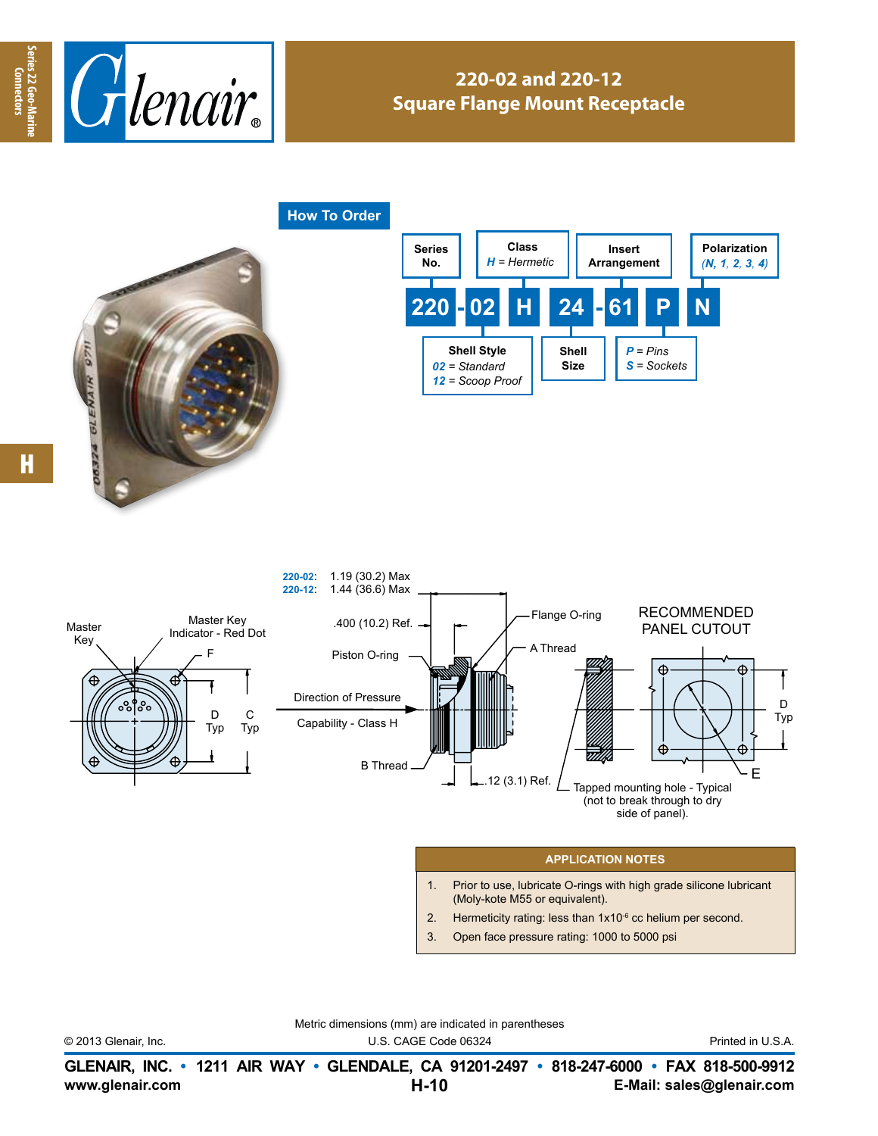



## **220-02 and 220-12 Square Flange Mount Receptacle**

**How To Order**







## **APPLICATION NOTES**

- 1. Prior to use, lubricate O-rings with high grade silicone lubricant (Moly-kote M55 or equivalent).
- 2. Hermeticity rating: less than  $1x10^{-6}$  cc helium per second.
- 3. Open face pressure rating: 1000 to 5000 psi

|                      | <u>Metric difficitsions (film) are indicated in parefilmeses</u> |                   |
|----------------------|------------------------------------------------------------------|-------------------|
| © 2013 Glenair, Inc. | U.S. CAGE Code 06324                                             | Printed in U.S.A. |

Metric dimensions (mm) are indicated in parentheses

**www.glenair.com E-Mail: sales@glenair.com GLENAIR, INC. • 1211 AIR WAY • GLENDALE, CA 91201-2497 • 818-247-6000 • FAX 818-500-9912 H-10**